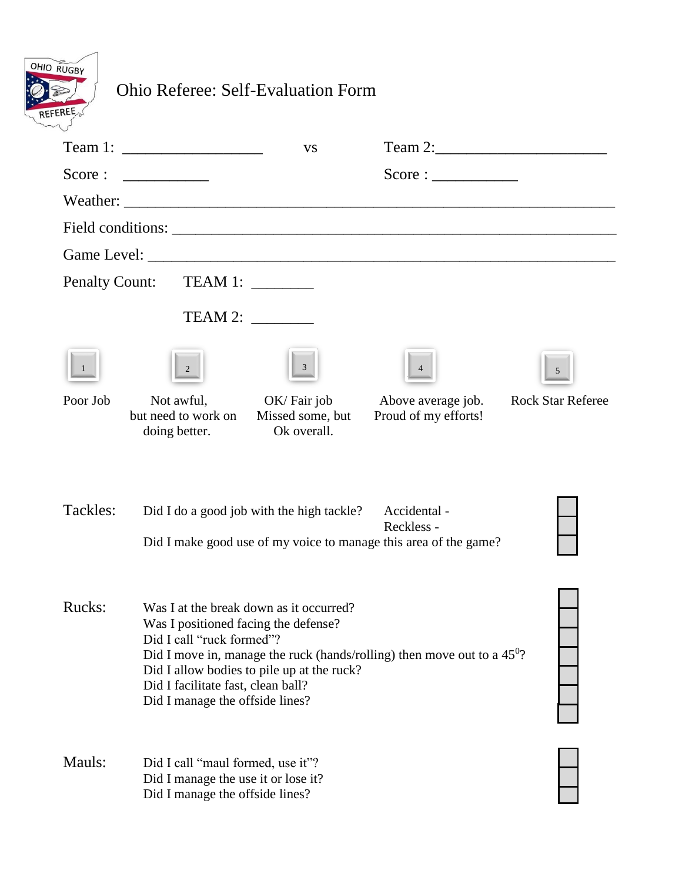| OHIO RUGBY     |
|----------------|
|                |
| <b>REFEREE</b> |

## Ohio Referee: Self-Evaluation Form

|          | Team 1: $\frac{1}{2}$                                                                                                                      | <b>VS</b>                                                                             |                                                                                                |                          |
|----------|--------------------------------------------------------------------------------------------------------------------------------------------|---------------------------------------------------------------------------------------|------------------------------------------------------------------------------------------------|--------------------------|
| Score:   |                                                                                                                                            |                                                                                       | Score:                                                                                         |                          |
|          |                                                                                                                                            |                                                                                       |                                                                                                |                          |
|          |                                                                                                                                            |                                                                                       |                                                                                                |                          |
|          |                                                                                                                                            |                                                                                       |                                                                                                |                          |
|          | Penalty Count: TEAM 1: ________                                                                                                            |                                                                                       |                                                                                                |                          |
|          |                                                                                                                                            | TEAM 2:                                                                               |                                                                                                |                          |
|          | $\mathbf{2}$                                                                                                                               | 3 <sup>1</sup>                                                                        |                                                                                                | 5                        |
| Poor Job | Not awful,<br>but need to work on<br>doing better.                                                                                         | OK/Fair job<br>Missed some, but<br>Ok overall.                                        | Above average job.<br>Proud of my efforts!                                                     | <b>Rock Star Referee</b> |
| Tackles: |                                                                                                                                            | Did I do a good job with the high tackle?                                             | Accidental -<br>Reckless -<br>Did I make good use of my voice to manage this area of the game? |                          |
| Rucks:   | Was I positioned facing the defense?<br>Did I call "ruck formed"?<br>Did I facilitate fast, clean ball?<br>Did I manage the offside lines? | Was I at the break down as it occurred?<br>Did I allow bodies to pile up at the ruck? | Did I move in, manage the ruck (hands/rolling) then move out to a $45^0$ ?                     |                          |
| Mauls:   | Did I call "maul formed, use it"?<br>Did I manage the use it or lose it?<br>Did I manage the offside lines?                                |                                                                                       |                                                                                                |                          |